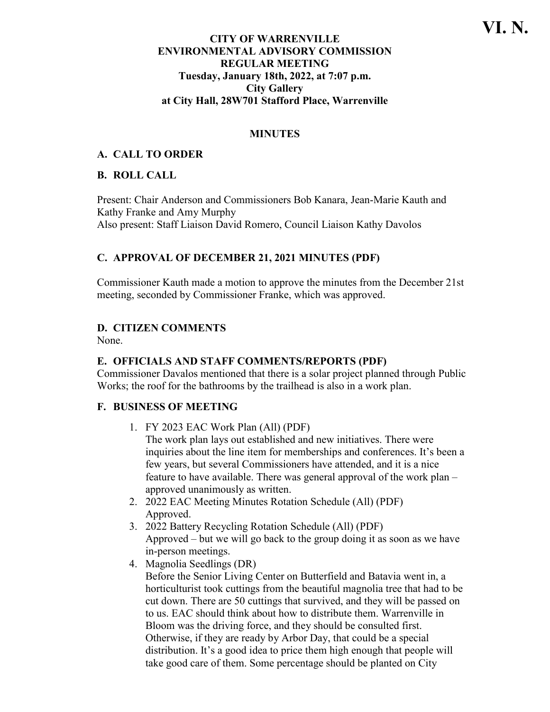## **CITY OF WARRENVILLE ENVIRONMENTAL ADVISORY COMMISSION REGULAR MEETING Tuesday, January 18th, 2022, at 7:07 p.m. City Gallery at City Hall, 28W701 Stafford Place, Warrenville**

## **MINUTES**

## **A. CALL TO ORDER**

### **B. ROLL CALL**

Present: Chair Anderson and Commissioners Bob Kanara, Jean-Marie Kauth and Kathy Franke and Amy Murphy Also present: Staff Liaison David Romero, Council Liaison Kathy Davolos

## **C. APPROVAL OF DECEMBER 21, 2021 MINUTES (PDF)**

Commissioner Kauth made a motion to approve the minutes from the December 21st meeting, seconded by Commissioner Franke, which was approved.

# **D. CITIZEN COMMENTS**

None.

## **E. OFFICIALS AND STAFF COMMENTS/REPORTS (PDF)**

Commissioner Davalos mentioned that there is a solar project planned through Public Works; the roof for the bathrooms by the trailhead is also in a work plan.

### **F. BUSINESS OF MEETING**

1. FY 2023 EAC Work Plan (All) (PDF)

The work plan lays out established and new initiatives. There were inquiries about the line item for memberships and conferences. It's been a few years, but several Commissioners have attended, and it is a nice feature to have available. There was general approval of the work plan – approved unanimously as written.

- 2. 2022 EAC Meeting Minutes Rotation Schedule (All) (PDF) Approved.
- 3. 2022 Battery Recycling Rotation Schedule (All) (PDF) Approved – but we will go back to the group doing it as soon as we have in-person meetings.
- 4. Magnolia Seedlings (DR)

Before the Senior Living Center on Butterfield and Batavia went in, a horticulturist took cuttings from the beautiful magnolia tree that had to be cut down. There are 50 cuttings that survived, and they will be passed on to us. EAC should think about how to distribute them. Warrenville in Bloom was the driving force, and they should be consulted first. Otherwise, if they are ready by Arbor Day, that could be a special distribution. It's a good idea to price them high enough that people will take good care of them. Some percentage should be planted on City